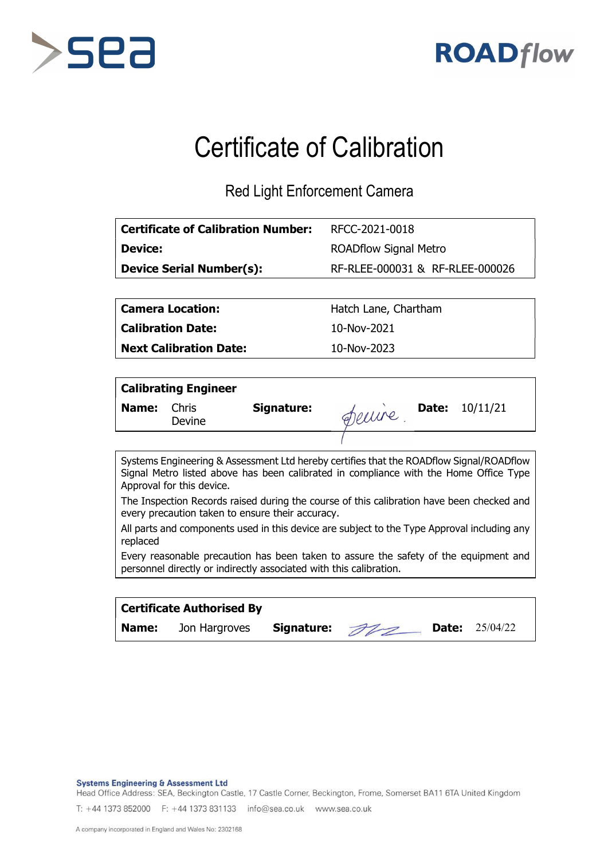



## Certificate of Calibration

Red Light Enforcement Camera

| <b>Certificate of Calibration Number:</b> | RFCC-2021-0018                  |
|-------------------------------------------|---------------------------------|
| <b>Device:</b>                            | <b>ROADflow Signal Metro</b>    |
| <b>Device Serial Number(s):</b>           | RF-RLEE-000031 & RF-RLEE-000026 |
|                                           |                                 |

Calibration Date: 10-Nov-2021

Next Calibration Date: 10-Nov-2023

Camera Location: Hatch Lane, Chartham

|       | <b>Calibrating Engineer</b> |            |       |                       |
|-------|-----------------------------|------------|-------|-----------------------|
| Name: | Chris<br>Devine             | Signature: | Deuve | <b>Date:</b> 10/11/21 |
|       |                             |            |       |                       |

Systems Engineering & Assessment Ltd hereby certifies that the ROADflow Signal/ROADflow Signal Metro listed above has been calibrated in compliance with the Home Office Type Approval for this device.

The Inspection Records raised during the course of this calibration have been checked and every precaution taken to ensure their accuracy.

All parts and components used in this device are subject to the Type Approval including any replaced

Every reasonable precaution has been taken to assure the safety of the equipment and personnel directly or indirectly associated with this calibration.

|       | <b>Certificate Authorised By</b> |               |  |                         |  |
|-------|----------------------------------|---------------|--|-------------------------|--|
| Name: | Jon Hargroves                    | Signature: 22 |  | <b>Date:</b> $25/04/22$ |  |

**Systems Engineering & Assessment Ltd** 

Head Office Address: SEA, Beckington Castle, 17 Castle Corner, Beckington, Frome, Somerset BA11 6TA United Kingdom

T: +44 1373 852000 F: +44 1373 831133 info@sea.co.uk www.sea.co.uk